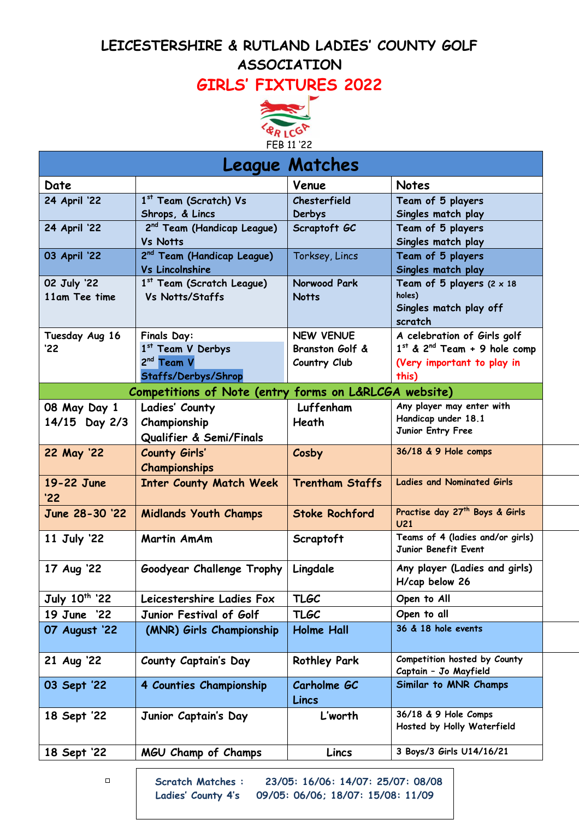### **LEICESTERSHIRE & RUTLAND LADIES' COUNTY GOLF ASSOCIATION**

# **GIRLS' FIXTURES 2022**



| <b>League Matches</b>     |                                                       |                        |                                                     |  |
|---------------------------|-------------------------------------------------------|------------------------|-----------------------------------------------------|--|
| Date                      |                                                       | Venue                  | <b>Notes</b>                                        |  |
| <b>24 April '22</b>       | 1 <sup>st</sup> Team (Scratch) Vs                     | Chesterfield           | Team of 5 players                                   |  |
|                           | Shrops, & Lincs                                       | Derbys                 | Singles match play                                  |  |
| 24 April '22              | 2 <sup>nd</sup> Team (Handicap League)                | Scraptoft GC           | Team of 5 players                                   |  |
|                           | <b>Vs Notts</b>                                       |                        | Singles match play                                  |  |
| 03 April '22              | 2 <sup>nd</sup> Team (Handicap League)                | Torksey, Lincs         | Team of 5 players                                   |  |
|                           | <b>Vs Lincolnshire</b>                                |                        | Singles match play                                  |  |
| 02 July '22               | 1st Team (Scratch League)                             | Norwood Park           | Team of 5 players $(2 \times 18)$                   |  |
| 11am Tee time             | Vs Notts/Staffs                                       | <b>Notts</b>           | holes)<br>Singles match play off                    |  |
|                           |                                                       |                        | scratch                                             |  |
| Tuesday Aug 16            | <b>Finals Day:</b>                                    | <b>NEW VENUE</b>       | A celebration of Girls golf                         |  |
| '22'                      | 1st Team V Derbys                                     | Branston Golf &        | $1st$ & 2 <sup>nd</sup> Team + 9 hole comp          |  |
|                           | $2nd$ Team V                                          | Country Club           | (Very important to play in                          |  |
|                           | Staffs/Derbys/Shrop                                   |                        | this)                                               |  |
|                           | Competitions of Note (entry forms on L&RLCGA website) |                        |                                                     |  |
| 08 May Day 1              | Ladies' County                                        | Luffenham              | Any player may enter with                           |  |
| 14/15 Day 2/3             | Championship                                          | Heath                  | Handicap under 18.1                                 |  |
|                           | Qualifier & Semi/Finals                               |                        | Junior Entry Free                                   |  |
| 22 May '22                | <b>County Girls'</b>                                  | Cosby                  | 36/18 & 9 Hole comps                                |  |
|                           | <b>Championships</b>                                  |                        |                                                     |  |
| 19-22 June                | <b>Inter County Match Week</b>                        | <b>Trentham Staffs</b> | <b>Ladies and Nominated Girls</b>                   |  |
| '22'                      |                                                       |                        |                                                     |  |
| June 28-30 '22            | <b>Midlands Youth Champs</b>                          | <b>Stoke Rochford</b>  | Practise day 27 <sup>th</sup> Boys & Girls          |  |
|                           | <b>Martin AmAm</b>                                    |                        | U <sub>21</sub><br>Teams of 4 (ladies and/or girls) |  |
| 11 July '22               |                                                       | Scraptoft              | Junior Benefit Event                                |  |
|                           |                                                       |                        |                                                     |  |
| 17 Aug '22                | Goodyear Challenge Trophy                             | Lingdale               | Any player (Ladies and girls)<br>H/cap below 26     |  |
|                           |                                                       |                        |                                                     |  |
| July 10 <sup>th</sup> '22 | Leicestershire Ladies Fox                             | <b>TLGC</b>            | Open to All                                         |  |
| 19 June '22               | Junior Festival of Golf                               | <b>TLGC</b>            | Open to all                                         |  |
| 07 August '22             | (MNR) Girls Championship                              | <b>Holme Hall</b>      | 36 & 18 hole events                                 |  |
| 21 Aug '22                | County Captain's Day                                  | <b>Rothley Park</b>    | Competition hosted by County                        |  |
|                           |                                                       |                        | Captain - Jo Mayfield                               |  |
| 03 Sept '22               | 4 Counties Championship                               | Carholme GC            | Similar to MNR Champs                               |  |
|                           |                                                       | Lincs                  |                                                     |  |
| 18 Sept '22               | Junior Captain's Day                                  | L'worth                | 36/18 & 9 Hole Comps                                |  |
|                           |                                                       |                        | Hosted by Holly Waterfield                          |  |
| 18 Sept '22               | MGU Champ of Champs                                   | Lincs                  | 3 Boys/3 Girls U14/16/21                            |  |
|                           |                                                       |                        |                                                     |  |

**L Scratch Matches : 23/05: 16/06: 14/07: 25/07: 08/08 Ladies' County 4's 09/05: 06/06; 18/07: 15/08: 11/09**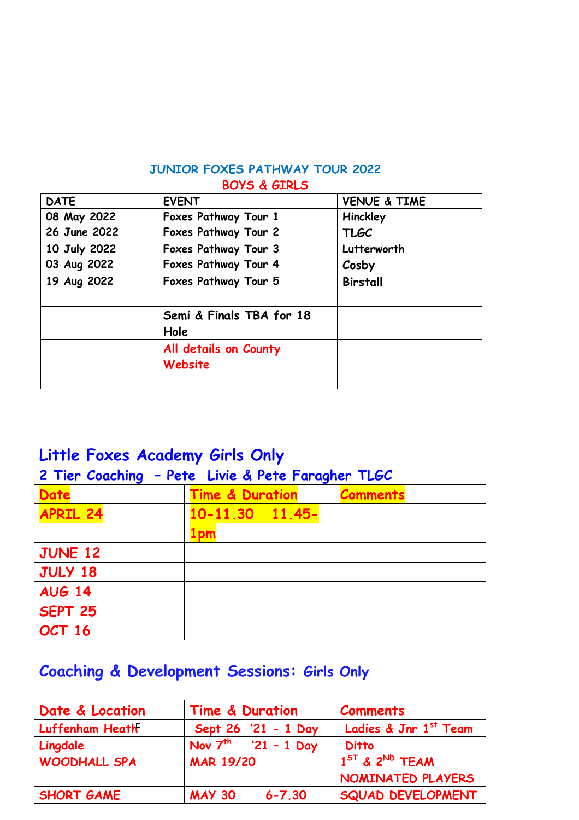#### **JUNIOR FOXES PATHWAY TOUR 2022 BOYS & GIRLS**

| <b>DATE</b>  | <b>EVENT</b>             | <b>VENUE &amp; TIME</b> |
|--------------|--------------------------|-------------------------|
| 08 May 2022  | Foxes Pathway Tour 1     | Hinckley                |
| 26 June 2022 | Foxes Pathway Tour 2     | <b>TLGC</b>             |
| 10 July 2022 | Foxes Pathway Tour 3     | Lutterworth             |
| 03 Aug 2022  | Foxes Pathway Tour 4     | Cosby                   |
| 19 Aug 2022  | Foxes Pathway Tour 5     | <b>Birstall</b>         |
|              |                          |                         |
|              | Semi & Finals TBA for 18 |                         |
|              | Hole                     |                         |
|              | All details on County    |                         |
|              | Website                  |                         |
|              |                          |                         |

## **Little Foxes Academy Girls Only**

#### **2 Tier Coaching – Pete Livie & Pete Faragher TLGC**

| <b>Date</b>     | <b>Time &amp; Duration</b> | <b>Comments</b> |
|-----------------|----------------------------|-----------------|
| <b>APRIL 24</b> | $10-11.30$ $11.45-$        |                 |
|                 | 1 pm                       |                 |
| <b>JUNE 12</b>  |                            |                 |
| JULY 18         |                            |                 |
| <b>AUG 14</b>   |                            |                 |
| SEPT 25         |                            |                 |
| OCT 16          |                            |                 |

# **Coaching & Development Sessions: Girls Only**

| Date & Location     | <b>Time &amp; Duration</b>  | <b>Comments</b>                 |
|---------------------|-----------------------------|---------------------------------|
| Luffenham Heath     | Sept 26 '21 - 1 Day         | Ladies & Jnr 1st Team           |
| Lingdale            | Nov $7^{th}$ '21 - 1 Day    | <b>Ditto</b>                    |
| <b>WOODHALL SPA</b> | <b>MAR 19/20</b>            | $1^{5T}$ & 2 <sup>ND</sup> TEAM |
|                     |                             | NOMINATED PLAYERS               |
| <b>SHORT GAME</b>   | <b>MAY 30</b><br>$6 - 7.30$ | <b>SQUAD DEVELOPMENT</b>        |